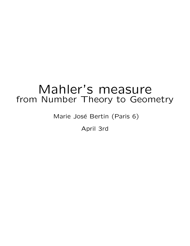# Mahler's measure from Number Theory to Geometry

Marie José Bertin (Paris 6)

April 3rd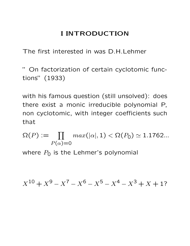## I INTRODUCTION

The first interested in was D.H.Lehmer

" On factorization of certain cyclotomic functions" (1933)

with his famous question (still unsolved): does there exist a monic irreducible polynomial P, non cyclotomic, with integer coefficients such that

 $\Omega(P) := \prod max(|\alpha|, 1) < \Omega(P_0) \simeq 1.1762...$  $P(\alpha)=0$ 

where  $P_0$  is the Lehmer's polynomial

$$
X^{10} + X^9 - X^7 - X^6 - X^5 - X^4 - X^3 + X + 1?
$$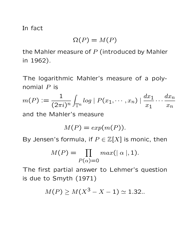In fact

$$
\Omega(P) = M(P)
$$

the Mahler measure of  $P$  (introduced by Mahler in 1962).

The logarithmic Mahler's measure of a polynomial  $P$  is

$$
m(P) := \frac{1}{(2\pi i)^n} \int_{\mathbb{T}^n} \log |P(x_1, \dots, x_n)| \frac{dx_1}{x_1} \dots \frac{dx_n}{x_n}
$$

and the Mahler's measure

$$
M(P) = exp(m(P)).
$$

By Jensen's formula, if  $P \in \mathbb{Z}[X]$  is monic, then

$$
M(P) = \prod_{P(\alpha) = 0} max(|\alpha|, 1).
$$

The first partial answer to Lehmer's question is due to Smyth (1971)

$$
M(P) \ge M(X^3 - X - 1) \simeq 1.32...
$$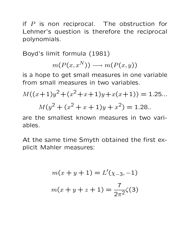if  $P$  is non reciprocal. The obstruction for Lehmer's question is therefore the reciprocal polynomials.

Boyd's limit formula (1981)

$$
m(P(x, x^N)) \longrightarrow m(P(x, y))
$$

is a hope to get small measures in one variable from small measures in two variables.

$$
M((x+1)y2 + (x2 + x + 1)y + x(x+1)) = 1.25...
$$
  

$$
M(y2 + (x2 + x + 1)y + x2) = 1.28.
$$

are the smallest known measures in two variables.

At the same time Smyth obtained the first explicit Mahler measures:

$$
m(x + y + 1) = L'(\chi_{-3}, -1)
$$

$$
m(x + y + z + 1) = \frac{7}{2\pi^2}\zeta(3)
$$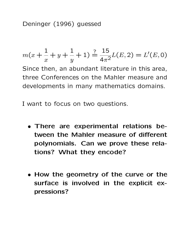Deninger (1996) guessed

$$
m(x + \frac{1}{x} + y + \frac{1}{y} + 1) \stackrel{?}{=} \frac{15}{4\pi^2}L(E, 2) = L'(E, 0)
$$

Since then, an abundant literature in this area, three Conferences on the Mahler measure and developments in many mathematics domains.

I want to focus on two questions.

- There are experimental relations between the Mahler measure of different polynomials. Can we prove these relations? What they encode?
- How the geometry of the curve or the surface is involved in the explicit expressions?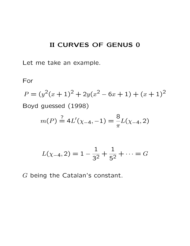## II CURVES OF GENUS 0

Let me take an example.

For

$$
P = (y^2(x+1)^2 + 2y(x^2 - 6x + 1) + (x+1)^2)
$$
  
Boyd guessed (1998)

$$
m(P) \stackrel{?}{=} 4L'(\chi_{-4}, -1) = \frac{8}{\pi}L(\chi_{-4}, 2)
$$

$$
L(\chi_{-4}, 2) = 1 - \frac{1}{3^2} + \frac{1}{5^2} + \dots = G
$$

G being the Catalan's constant.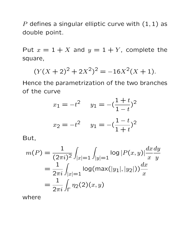P defines a singular elliptic curve with  $(1, 1)$  as double point.

Put  $x = 1 + X$  and  $y = 1 + Y$ , complete the square,

$$
(Y(X+2)^2 + 2X^2)^2 = -16X^2(X+1).
$$

Hence the parametrization of the two branches of the curve

$$
x_1 = -t^2 \qquad y_1 = -\left(\frac{1+t}{1-t}\right)^2
$$

$$
x_2 = -t^2 \qquad y_1 = -\left(\frac{1-t}{1+t}\right)^2
$$

But,

$$
m(P) = \frac{1}{(2\pi i)^2} \int_{|x|=1} \int_{|y|=1} \log |P(x,y)| \frac{dx \, dy}{x \, y}
$$
  
= 
$$
\frac{1}{2\pi i} \int_{|x|=1} \log(\max(|y_1|, |y_2|)) \frac{dx}{x}
$$
  
= 
$$
\frac{1}{2\pi i} \int_{\Gamma} \eta_2(2)(x, y)
$$

where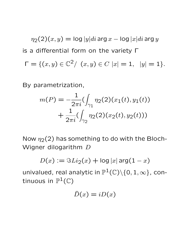$\eta_2(2)(x,y) = \log|y|di \arg x - \log|x|di \arg y$ is a differential form on the variety Γ  $\Gamma = \{ (x, y) \in \mathbb{C}^2 / \ (x, y) \in C \ |x| = 1, \ |y| = 1 \}.$ 

By parametrization,

$$
m(P) = -\frac{1}{2\pi i} \left( \int_{\gamma_1} \eta_2(2)(x_1(t), y_1(t)) + \frac{1}{2\pi i} \left( \int_{\gamma_2} \eta_2(2)(x_2(t), y_2(t)) \right) \right)
$$

Now  $\eta_2(2)$  has something to do with the Bloch-Wigner dilogarithm D

$$
D(x) := \Im Li_2(x) + \log|x| \arg(1-x)
$$

univalued, real analytic in  $\mathbb{P}^1(\mathbb{C})\backslash\{0,1,\infty\}$ , continuous in  $\mathbb{P}^1(\mathbb{C})$ 

$$
\hat{D}(x) = iD(x)
$$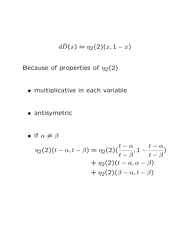$$
d\widehat{D}(x) = \eta_2(2)(x, 1-x)
$$

Because of properties of  $\eta_2(2)$ 

- multiplicative in each variable
- antisymetric

• if 
$$
\alpha \neq \beta
$$
  
\n
$$
\eta_2(2)(t - \alpha, t - \beta) = \eta_2(2)\left(\frac{t - \alpha}{t - \beta}, 1 - \frac{t - \alpha}{t - \beta}\right)
$$
\n
$$
+ \eta_2(2)(t - \alpha, \alpha - \beta)
$$
\n
$$
+ \eta_2(2)(\beta - \alpha, t - \beta)
$$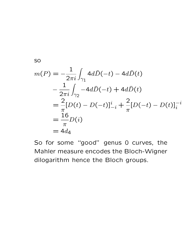so

$$
m(P) = -\frac{1}{2\pi i} \int_{\gamma_1} 4d\hat{D}(-t) - 4d\hat{D}(t)
$$
  
\n
$$
-\frac{1}{2\pi i} \int_{\gamma_2} -4d\hat{D}(-t) + 4d\hat{D}(t)
$$
  
\n
$$
=\frac{2}{\pi} [D(t) - D(-t)]_{-i}^{i} + \frac{2}{\pi} [D(-t) - D(t)]_{i}^{-i}
$$
  
\n
$$
=\frac{16}{\pi} D(i)
$$
  
\n
$$
= 4d_4
$$

So for some "good" genus 0 curves, the Mahler measure encodes the Bloch-Wigner dilogarithm hence the Bloch groups.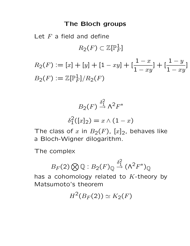### The Bloch groups

Let  $F$  a field and define  $R_2(F) \subset \mathbb{Z}[{\mathbb{P}}_F^1$  $\frac{1}{F}$ ]

 $R_2(F) := [x] + [y] + [1 - xy] + [$  $1-x$  $1 - xy$  $+\left[\frac{1-y}{1}\right]$  $1 - xy$ ]  $B_2(F) \mathrel{\mathop:}= \mathbb{Z}[\mathbb{P}^1_F$  $\frac{1}{F}$ ]/R<sub>2</sub>(F)

$$
B_2(F) \stackrel{\delta_1^2}{\rightarrow} \Lambda^2 F^*
$$

$$
\delta_1^2([x]_2) = x \wedge (1 - x)
$$

The class of x in  $B_2(F)$ ,  $[x]_2$ , behaves like a Bloch-Wigner dilogarithm.

The complex

$$
B_F(2)\bigotimes \mathbb{Q}:B_2(F)_{\mathbb{Q}}\stackrel{\delta_1^2}{\to}(\Lambda^2F^*)_{\mathbb{Q}}
$$

has a cohomology related to  $K$ -theory by Matsumoto's theorem

$$
H^2(B_F(2)) \simeq K_2(F)
$$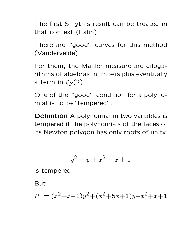The first Smyth's result can be treated in that context (Lalin).

There are "good" curves for this method (Vandervelde).

For them, the Mahler measure are dilogarithms of algebraic numbers plus eventually a term in  $\zeta_F(2)$ .

One of the "good" condition for a polynomial is to be"tempered".

Definition A polynomial in two variables is tempered if the polynomials of the faces of its Newton polygon has only roots of unity.

$$
y^2 + y + x^2 + x + 1
$$

is tempered

But

$$
P := (x^2 + x - 1)y^2 + (x^2 + 5x + 1)y - x^2 + x + 1
$$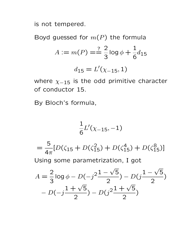is not tempered.

Boyd guessed for  $m(P)$  the formula

$$
A := m(P) = \frac{?}{3} \log \phi + \frac{1}{6} d_{15}
$$

$$
d_{15} = L'(\chi_{-15}, 1)
$$

where  $\chi_{-15}$  is the odd primitive character of conductor 15.

By Bloch's formula,

$$
\frac{1}{6}L'(\chi_{-15},-1)
$$

= 5  $4\pi$  $[D(\zeta_{15} + D(\zeta_{15}^2) + D(\zeta_{15}^4) + D(\zeta_{15}^8)]$ 

Using some parametrization, I got

$$
A = \frac{2}{3}\log \phi - D(-j\frac{2(1-\sqrt{5})}{2}) - D(j\frac{1-\sqrt{5}}{2}) - D(-j\frac{1+\sqrt{5}}{2}) - D(j\frac{1+\sqrt{5}}{2})
$$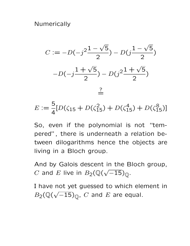**Numerically** 



$$
E := \frac{5}{4} [D(\zeta_{15} + D(\zeta_{15}^2) + D(\zeta_{15}^4) + D(\zeta_{15}^8)]
$$

So, even if the polynomial is not "tempered", there is underneath a relation between dilogarithms hence the objects are living in a Bloch group.

And by Galois descent in the Bloch group, C and E live in  $B_2(\mathbb{Q})$ √  $\overline{-15})_{\mathbb Q}.$ 

I have not yet guessed to which element in  $B_2(\mathbb{Q}(\$ √  $\overline{-15})_{\mathbb Q}$ ,  $C$  and  $E$  are equal.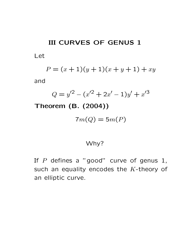## III CURVES OF GENUS 1

Let

$$
P = (x+1)(y+1)(x+y+1) + xy
$$

and

$$
Q = y'^2 - (x'^2 + 2x' - 1)y' + x'^3
$$

Theorem (B. (2004))

$$
7m(Q) = 5m(P)
$$

#### Why?

If  $P$  defines a "good" curve of genus 1, such an equality encodes the  $K$ -theory of an elliptic curve.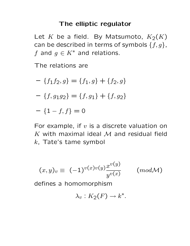#### The elliptic regulator

Let K be a field. By Matsumoto,  $K_2(K)$ can be described in terms of symbols  $\{f,g\}$ , f and  $g \in K^*$  and relations.

The relations are

$$
- \{f_1 f_2, g\} = \{f_1, g\} + \{f_2, g\}
$$

$$
- \{f, g_1 g_2\} = \{f, g_1\} + \{f, g_2\}
$$

$$
- \{1 - f, f\} = 0
$$

For example, if  $v$  is a discrete valuation on K with maximal ideal  $M$  and residual field  $k$ , Tate's tame symbol

$$
(x,y)_v \equiv (-1)^{v(x)v(y)} \frac{x^{v(y)}}{y^{v(x)}} \qquad (mod \mathcal{M})
$$

defines a homomorphism

$$
\lambda_v: K_2(F) \to k^*.
$$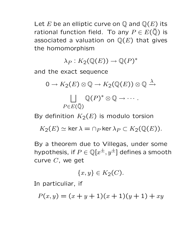Let E be an elliptic curve on  $\mathbb Q$  and  $\mathbb Q(E)$  its rational function field. To any  $P \in E(\bar{Q})$  is associated a valuation on  $\mathbb{Q}(E)$  that gives the homomorphism

 $\lambda_P:K_2({\mathbb Q}(E))\to{\mathbb Q}(P)^*$ 

and the exact sequence

$$
0 \to K_2(E) \otimes \mathbb{Q} \to K_2(\mathbb{Q}(E)) \otimes \mathbb{Q} \xrightarrow{\lambda} \\ \bigsqcup_{P \in E(\overline{\mathbb{Q}})} \mathbb{Q}(P)^* \otimes \mathbb{Q} \to \cdots.
$$

By definition  $K_2(E)$  is modulo torsion

 $K_2(E) \simeq \ker \lambda = \cap_P \ker \lambda_P \subset K_2(\mathbb{Q}(E)).$ 

By a theorem due to Villegas, under some hypothesis, if  $P\in\mathbb{Q}[x^{\pm},y^{\pm}]$  defines a smooth curve C, we get

$$
\{x,y\} \in K_2(C).
$$

In particuliar, if

$$
P(x, y) = (x + y + 1)(x + 1)(y + 1) + xy
$$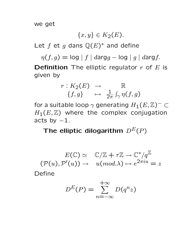we get

$$
\{x,y\}\in K_2(E).
$$

Let  $f$  et  $g$  dans  $\mathbb{Q}(E)^*$  and define

 $\eta(f,g) = \log |f| \cdot darg g - \log |g| \cdot darg f.$ 

**Definition** The elliptic regulator  $r$  of  $E$  is given by

$$
\begin{array}{rcl} r: K_2(E) & \rightarrow & \mathbb{R} \\ \{f, g\} & \mapsto & \frac{1}{2\pi} \int_{\gamma} \eta(f, g) \end{array}
$$

for a suitable loop  $\gamma$  generating  $H_1(E,\Z)^-\subset$  $H_1(E, \mathbb{Z})$  where the complex conjugation acts by  $-1$ .

The elliptic dilogarithm  $D^E(P)$ 

$$
E(\mathbb{C}) \simeq \mathbb{C}/\mathbb{Z} + \tau \mathbb{Z} \to \mathbb{C}^*/q^{\mathbb{Z}}
$$

$$
(\mathcal{P}(u), \mathcal{P}'(u)) \to u(mod.\lambda) \mapsto e^{2\pi i u} = z
$$

Define

$$
D^{E}(P) = \sum_{n=-\infty}^{+\infty} D(q^{n}z)
$$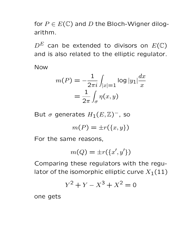for  $P \in E(\mathbb{C})$  and D the Bloch-Wigner dilogarithm.

 $D^E$  can be extended to divisors on  $E(\mathbb{C})$ and is also related to the elliptic regulator.

Now

$$
m(P) = -\frac{1}{2\pi i} \int_{|x|=1} \log |y_1| \frac{dx}{x}
$$

$$
= \frac{1}{2\pi} \int_{\sigma} \eta(x, y)
$$

But  $\sigma$  generates  $H_1(E,\mathbb{Z})^-$ , so

$$
m(P) = \pm r(\lbrace x, y \rbrace)
$$

For the same reasons,

$$
m(Q) = \pm r(\lbrace x', y' \rbrace)
$$

Comparing these regulators with the regulator of the isomorphic elliptic curve  $X_1(11)$ 

$$
Y^2 + Y - X^3 + X^2 = 0
$$

one gets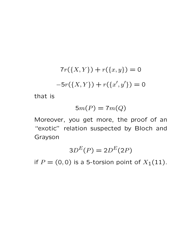$$
7r({X,Y}) + r({x,y}) = 0
$$
  
-5r({X,Y}) + r({x',y'}) = 0

that is

$$
5m(P) = 7m(Q)
$$

Moreover, you get more, the proof of an "exotic" relation suspected by Bloch and Grayson

$$
3D^E(P) = 2D^E(2P)
$$

if  $P = (0, 0)$  is a 5-torsion point of  $X_1(11)$ .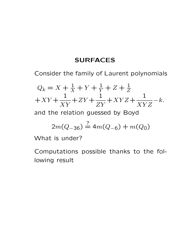## **SURFACES**

Consider the family of Laurent polynomials

$$
Q_k = X + \frac{1}{X} + Y + \frac{1}{Y} + Z + \frac{1}{Z} + XY + \frac{1}{XY} + ZY + \frac{1}{ZY} + XYZ + \frac{1}{XYZ} - k.
$$

and the relation guessed by Boyd

$$
2m(Q_{-36}) \stackrel{?}{=} 4m(Q_{-6}) + m(Q_0)
$$

What is under?

Computations possible thanks to the following result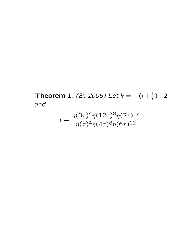Theorem 1. (*B. 2005)* Let  $k = -(t + \frac{1}{t}) - 2$ and

$$
t = \frac{\eta(3\tau)^4 \eta(12\tau)^8 \eta(2\tau)^{12}}{\eta(\tau)^4 \eta(4\tau)^8 \eta(6\tau)^{12}}.
$$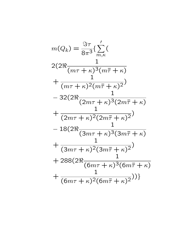$$
m(Q_k) = \frac{\Im \tau}{8\pi^3} \left\{ \sum_{m,\kappa}^{\prime} (
$$
  
\n
$$
2(2\Re \frac{1}{(m\tau + \kappa)^3 (m\bar{\tau} + \kappa)} + \frac{1}{(m\tau + \kappa)^2 (m\bar{\tau} + \kappa)^2})
$$
  
\n
$$
-32(2\Re \frac{1}{(2m\tau + \kappa)^3 (2m\bar{\tau} + \kappa)} + \frac{1}{(2m\tau + \kappa)^2 (2m\bar{\tau} + \kappa)^2})
$$
  
\n
$$
-18(2\Re \frac{1}{(3m\tau + \kappa)^3 (3m\bar{\tau} + \kappa)} + \frac{1}{(3m\tau + \kappa)^2 (3m\bar{\tau} + \kappa)^2})
$$
  
\n
$$
+ 288(2\Re \frac{1}{(6m\tau + \kappa)^3 (6m\bar{\tau} + \kappa)^2}) + \frac{1}{(6m\tau + \kappa)^2 (6m\bar{\tau} + \kappa)^2})
$$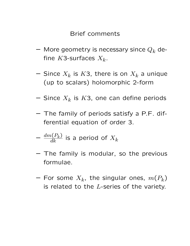#### Brief comments

- More geometry is necessary since  $Q_k$  define K3-surfaces  $X_k$ .
- $-$  Since  $X_k$  is  $K$ 3, there is on  $X_k$  a unique (up to scalars) holomorphic 2-form
- $-$  Since  $X_k$  is  $K$ 3, one can define periods
- The family of periods satisfy a P.F. differential equation of order 3.
- $-\ \frac{dm(P_k)}{dk}$  is a period of  $X_k$
- The family is modular, so the previous formulae.
- $-$  For some  $X_k$ , the singular ones,  $m(P_k)$ is related to the  $L$ -series of the variety.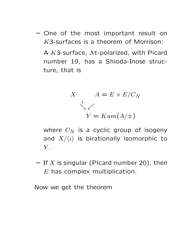- One of the most important result on K3-surfaces is a theorem of Morrison: A K3-surface, M-polarized, with Picard
	- number 19, has a Shioda-Inose structure, that is

$$
X \t A = E \times E/C_N
$$
  

$$
Y = Kum(A/\pm)
$$

where  $C_N$  is a cyclic group of isogeny and  $X/\langle \iota \rangle$  is birationally isomorphic to  $Y$ .

 $-$  If X is singular (Picard number 20), then  $E$  has complex multiplication.

Now we get the theorem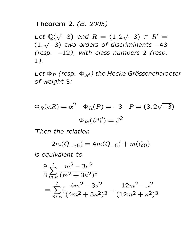#### Theorem 2. (B. 2005)

Let Q( √  $(-3)$  and  $R = (1, 2)$ √  $(-3) \subset R' =$ (1, √  $\overline{-3}$ ) two orders of discriminants  $-48$ (resp.  $-12$ ), with class numbers 2 (resp. 1).

Let  $\Phi_R$  (resp.  $\Phi_{R'}$ ) the Hecke Grössencharacter of weight 3:

$$
\Phi_R(\alpha R) = \alpha^2 \quad \Phi_R(P) = -3 \quad P = (3, 2\sqrt{-3})
$$

$$
\Phi_{R'}(\beta R') = \beta^2
$$

Then the relation

 $2m(Q_{-36}) = 4m(Q_{-6}) + m(Q_0)$ 

is equivalent to

$$
\frac{9}{8} \sum_{m,\kappa}^{\prime} \frac{m^2 - 3\kappa^2}{(m^2 + 3\kappa^2)^3}
$$
  
= 
$$
\sum_{m,\kappa}^{\prime} \left(\frac{4m^2 - 3\kappa^2}{(4m^2 + 3\kappa^2)^3} - \frac{12m^2 - \kappa^2}{(12m^2 + \kappa^2)^3}\right)
$$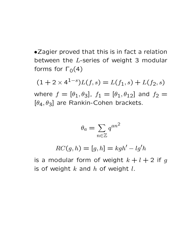•Zagier proved that this is in fact a relation between the L-series of weight 3 modular forms for  $\Gamma_0(4)$ 

 $(1+2\times4^{1-s})L(f,s)=L(f_1,s)+L(f_2,s)$ 

where  $f = [\theta_1, \theta_3]$ ,  $f_1 = [\theta_1, \theta_{12}]$  and  $f_2 =$  $[\theta_4, \theta_3]$  are Rankin-Cohen brackets.

$$
\theta_a = \sum_{n \in \mathbb{Z}} q^{an^2}
$$

$$
RC(g, h) = [g, h] = kgh' - lg'h
$$

is a modular form of weight  $k+l+2$  if g is of weight  $k$  and  $h$  of weight  $l$ .